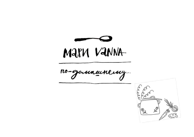

no-gommentency...

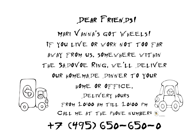# +7 (495) 650-650-0

CALL ME AT THE PHONE NUMBER:



Delivery hours from 10:00 am till 10:00 pm

HOME OR OFFICE.

our homemade dinner to your

away from us, somewhere within the Sadovoe Ring, we'll deliver

If you live or work not too far

Mari Vanna's got Wheels!

# Dear Friends!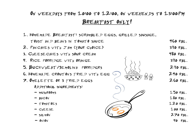### On weekdays from 10:00 to 12:00, on weekends to 13:00PM Breakfast only!

1. Homemade Breakfast: scrambled eggs, grilled sausage,

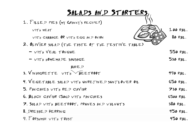| SALADS AND STARTERS                               |                 |
|---------------------------------------------------|-----------------|
| 1. FILLED PIES (MY GRANNY'S RECIPE!)              |                 |
| WITH MEAT                                         | $100$ RBL.      |
| WITH CABBAGE OR WITH EGG AND ONION                | 80 RBL.         |
| 2. OLIVIER SALAD (THE TASTE OF THE FESTIVE TABLE) |                 |
| $ VITH VEH T0NGUE$                                | 550 RBL.        |
| - WITH HOMEMADE SAUSAGE                           | 530 RBL.        |
| BAKE.P                                            |                 |
| 3. VINAIGRETTE WITH BEETROOT                      | $490$ RBL.      |
| 4. VEGETABLE SALAD WITH UNREFINED SUNFLOWER OIL   | $650$ $RBL$ .   |
| 5. PANCAKES WITH RED CAVIAR                       | 730 RBL.        |
| G. BLACK CAVIAR (50G) WITH PANCAKES               | <b>G500 RBL</b> |
| 7. SALAD WITH BEETROOT, PRUNES AND WALNUTS        | 380 RBL.        |
| 8. DRESSED HERRING                                | 450 RBL.        |
| 9. FORSHMAK WITH TOAST                            | $450$ RBL.      |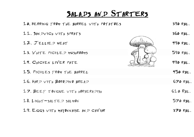## Salads and **S**tarters

| 10. HERRING FROM THE BARREL WITH POTATOES | 390 RBL.      |
|-------------------------------------------|---------------|
| 11. SAN DWICH WITH SPRATS                 | 360 RBL.      |
| $12.7$ ELLIED MEAT                        | $490$ RBL.    |
| 13. WHITE PICKLED MUSHROOMS               | 590 RBL.      |
| 14. CHICKEN LIVER PATE                    | 490 RBL.      |
| 15. PICKLES FROM THE BARREL               | $450$ RBL.    |
| 16. HARD WITH BORODINO BREAD              | GFORBL.       |
| 17. BEEF TONGUE WITH HORSERADISH          | $GLO$ $RBL$ . |
| 18. LIGHT-SALTED SALMON                   | $570$ RBL.    |
| 19. EGGS WITH MAYONNAISE AND CAVIAR       | 370 RBL.      |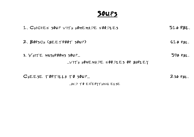### Soups

| 1. CHICKEN SOUP WITH HOMEMADE NOODLES                      | $510$ RBL.    |
|------------------------------------------------------------|---------------|
| 2. BORSCH (BEETROOT SOUP)                                  | $GLO$ $RBL$ . |
| 3. WHITE MUSHROOMS SOUP<br>VITH HOMEMADE NOODLES OR BARLEY | $590$ RBL.    |
| CHEESE TORTILLA TO SOUP<br>MAP TO EVERYTHING ELSE          | $230$ RBL.    |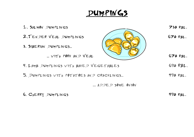## DUMPINGS

| 1. SALMON DUMPLINGS                       | 730 RBL.   |
|-------------------------------------------|------------|
| 2. TENDER VEAL DUMPLINGS                  | $670$ RBL. |
| 3. SIBERIAN DUMPLINGS                     |            |
| WITH PORK AND VEAL                        | $670$ RBL. |
| 4. LAMB DUMPLINGS WITH BAKED VEGETABLES   | 690 RBL.   |
| 5. DUMPLINGS WITH POTATOES AND CRACKLINGS | $490$ RBL. |
| A.D. DE D SOME ONION                      |            |

6. CHERRY DUMPLINGS 490 RBL.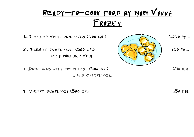# READY-TO-COOK FOOD BY MARI VANNA Frozen

1. TENDER VEAL DUMPLINGS (500 GR.) 1050 RBL.

2. SIBERIAN DUMPLINGS... (500 GR.)  $\left|\frac{\partial f(x,y)}{\partial x}\right|$  850 RBL.  $WITH$  PORK AND VEAL

3. Dumplings with potatoes… (500 gr.) 650 rbl. ... AND CRACKLINGS...

4. CHERRY DUMPLINGS (500 GR.) 650 RBL.

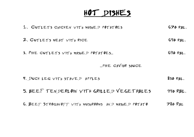# HOT DISHES

| 1. CUTLETS CHICKEN WITH MASHED POTATOES             | $670$ RBL.  |
|-----------------------------------------------------|-------------|
| 2. CUTLETS MEAT WITH RICE                           | $690$ RBL.  |
| 3. PIKE CUTLETS WITH MASHED POTATOES                | $690$ RBL.  |
| $M$ PIKE CAVIAR SAUCE                               |             |
| 4. DUCK LEG WITH STAWED APPLES                      | 830 RBL.    |
| 5. BEEF TENDERLOIN WITH GRILLED VEGETABLES          | 990 RBL.    |
| G. BEEF STROGANOFF WITH MUSHROOMS AND MASHED POTATO | $780$ $RBL$ |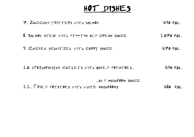# HOT DISHES

| 7. ZUCCHINI FRITTERS WITH SALMON                               | $690$ RBL.  |
|----------------------------------------------------------------|-------------|
| 8. SALMON STEAK WITH PTI-TIM AND CREAM SAUCE                   | $1070$ RBL. |
| 9. CHICKEN SCHNITZEL WITH CURRY SAUCE                          | $670$ RBL.  |
| 10. «POZHARSKAYA» CUTLETS WITH BAKED POTATOES                  | $690$ RBL.  |
| AN D MUSHROOM SAUCE<br>11. FRIED POTATOES WITH WHITE MUSHROOMS | 680<br>RBL. |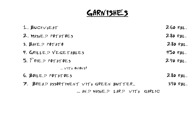# GARNISHES

| $1.$ BUCKWHEAT                         | 260 RBL.   |
|----------------------------------------|------------|
| 2. MASHED POTATOES                     | $280$ RBL. |
| 3. BAKED POTATO                        | $280$ RBL. |
| 4. GRILLED VEGETABLES                  | $450$ RBL. |
| 5. FRIED POTATOES                      | $290$ RBL. |
| $$ $V$ ITH ONIONS!                     |            |
| G. BOILED POTATOES                     | $280$ RBL. |
| 7. BREAD ASSORTIMENT WITH GREEN BUTTER | 390 RBL.   |
| AN D MASHE D LARD WITH GARLIC          |            |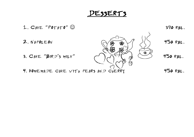DESSERTS

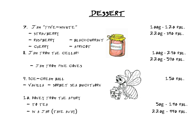### Dessert

Малина

- $7.$   $J_{AM}$  "five-minute" 100g 120 RBL.
	-
	- $-$  RASPBERRY  $-$  BLACKCURRANT.
	- $-C$ HERRY APRICOT
- 8.  $J$  AM FROM THE CELLAR:  $100g 290 RBL$ .
	- $J$  AM FROM PINE CONES
- 9. ICE-CREAM BALL  $\frac{150}{150}$  150 RBL.
- $-VANILA = SORBET SEA BUCKTHORN$
- 10. Honey from the apiary
	-
	- $-$  IN A JAR (TAKE AWAY) 220g 440 RBL.



 $-$  strawberry 220g - 340 rbl.

220g - 590 rbl.

 $-$  TO TEA 50g - 140 RBL.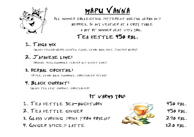

МАРИ VANNA

ALL SUMMER COLLECTING DIFFERENT USEFUL HERBS AND

berries… In any weather at a cozy table

a bit of summer heat with you…

#### Tea kettle 450 rbl.

#### 1. Taiga mix

(black tea,cowberry leaves, thyme, lemon baim, mint, juniper berry)

### 2. Japanese lime:

(orange peel,chamomile flower and sweet lime)

#### 3. Herbal cocktail:

(Apple, lemon balm, chamomile, cornflower petais)

#### 4. Black currant:

(black tea, leaf currant, cornflower)

#### It warms you:

- 1. TEA KETTLE SEA-BUCKTHORN 450 RBL.
- 2. TEA KETTLE GINGER 450 RBL.
- 3. GLASS WARNING DRINK FROM ROSEHIP 290 RBL.
- 4. GINGER SPICED LATTE 320 RBL.

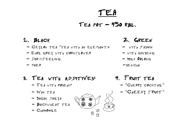# TEA

### $TEA$   $POT = 450$  RBL.

- $-$  CEYLON TEA "TEA WITH AN ELEPHANT»  $-$  WITH JASMIN
- $-$  EARL GREY WITH CORNFLOWER  $-$  with ginseng
- $D$ ARDJEELING  $-$  MILK 00LONG
- 

### 3. Tea with additives: 4. Fruit tea

- 
- 
- $-$  SAGAN DAILYA
- Buckwheat tea
- $-$  CHAMOMILE



#### 1. BLACK 2. GREEN

- 
- 
- 

 $-$  puer  $-$ sen $C<sub>HA</sub>$ 

- $-$  TEA WITH ROSEHIP  $-$  "CHERRY COCKTAIL"
- $-$  *IVAN* TEA  $\leq$   $\leq$   $\leq$   $\leq$   $\leq$   $\leq$   $\leq$   $\leq$   $\leq$   $\leq$   $\leq$   $\leq$   $\leq$   $\leq$   $\leq$   $\leq$   $\leq$   $\leq$   $\leq$   $\leq$   $\leq$   $\leq$   $\leq$   $\leq$   $\leq$   $\leq$   $\leq$   $\leq$   $\leq$   $\leq$   $\leq$   $\leq$   $\leq$   $\leq$   $\$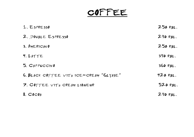# COFFEE

| 1. ESPRESSO                             | $250$ RBL. |
|-----------------------------------------|------------|
| 2. DOUBLE ESPRESSO                      | $290$ RBL. |
| 3. AMERICANO                            | $250$ RBL. |
| 4. LATTE                                | 390 RBL.   |
| 5. CAPPUCCINO                           | 360 RBL.   |
| G. BLACK COFFEE WITH ICE-CREAM "GLYASE" | $420$ RBL. |
| 7. COFFEE WITH CREAM LIQUEUR            | 520 RBL.   |
| $8.$ $Cocof$                            | $290$ RBL. |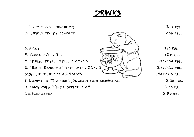DRINKS

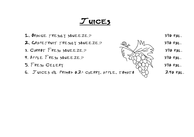### $J$ uices

- 1. ORANGE FRESHLY SQUEEZED 390 RBL.
- **2.** GRAPEFRUIT FRESHLY SQUEEZED  $\oslash$ ,  $\mathbb{M}_{\sim}$  390 RBL.
- 3. CARROT FRESH SQUEEZED  $\sqrt{25}$  390 RBL.
- 4. APPLE FRESH SQUEEZED  $\sqrt{\sqrt{(\pi-\lambda)}}$  390 RBL.
- $5.$  FRESH CELERY  $390$  RBL.
- 6. JUICES «IL PRIMO»  $0.2$ : CHERRY, APPLE, TOMATO  $\forall$ ) 240 RBL.

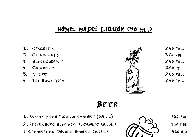### HOME MADE LIQUOR (40 ml.)

- 1. HORSERADISH 260 RBL.
- 2. CEDAR NUTS 260 RBL.
- 3. BLACKCURRANT 260 RBL.
- 4. CRANBERRY 260 RBL.
- 
- 6. SEA BUCKTHORN  $260$  rbl.



- 
- 
- 

### Beer

- 1. RUSSIAN BEER "ZHIGULEVSKOE"  $(0.45L)$   $\qquad \qquad$  360 RBL.
- 2. KRONENBURG BLAN NON-ALCOHOLIC (0,33L.)  $\sim$  360 RBL.
- 3. GRIMBERGEN DOUBLE AMBREE (0.33L.)  $1/\sqrt{2}$  460 RBL.